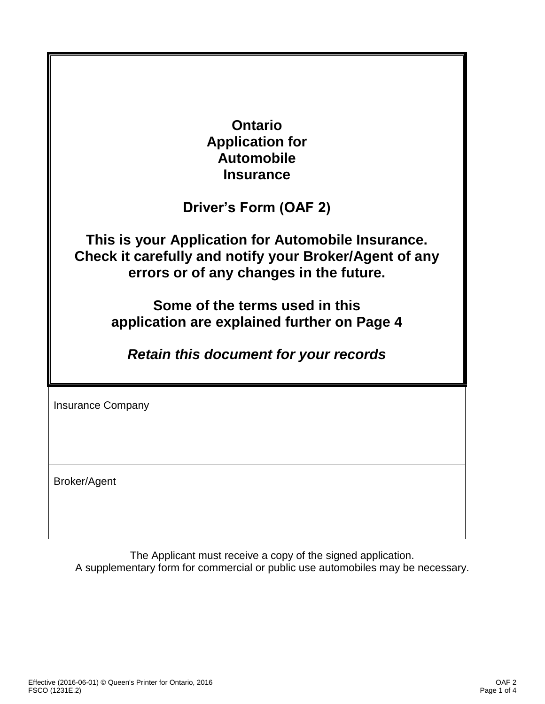| <b>Ontario</b><br><b>Application for</b><br><b>Automobile</b><br><b>Insurance</b>                                                                                                                                                                                                        |
|------------------------------------------------------------------------------------------------------------------------------------------------------------------------------------------------------------------------------------------------------------------------------------------|
| Driver's Form (OAF 2)                                                                                                                                                                                                                                                                    |
| This is your Application for Automobile Insurance.<br>Check it carefully and notify your Broker/Agent of any<br>errors or of any changes in the future.<br>Some of the terms used in this<br>application are explained further on Page 4<br><b>Retain this document for your records</b> |
| <b>Insurance Company</b>                                                                                                                                                                                                                                                                 |
| <b>Broker/Agent</b>                                                                                                                                                                                                                                                                      |

The Applicant must receive a copy of the signed application. A supplementary form for commercial or public use automobiles may be necessary.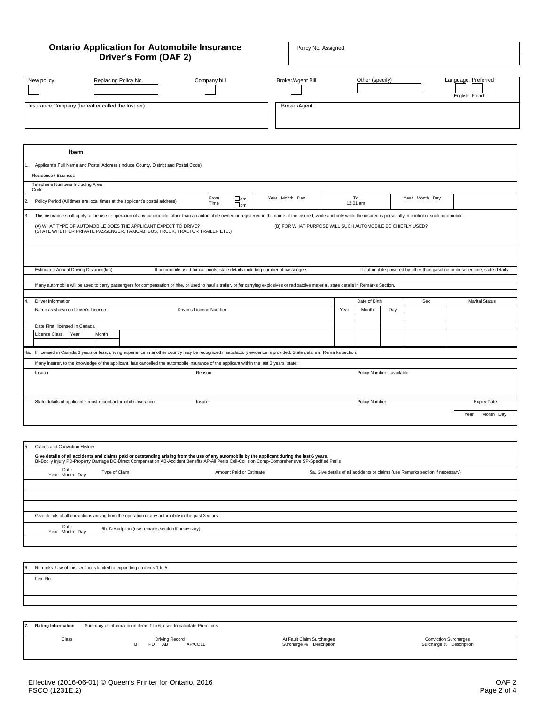# **Ontario Application for Automobile Insurance Driver's Form (OAF 2)**

Policy No. Assigned

|                                                                                                                                                                                                                                    |                      |                                                            |      | Other (specify) |                            |                | Language Preferred    |  |  |
|------------------------------------------------------------------------------------------------------------------------------------------------------------------------------------------------------------------------------------|----------------------|------------------------------------------------------------|------|-----------------|----------------------------|----------------|-----------------------|--|--|
| Replacing Policy No.<br>New policy                                                                                                                                                                                                 | Company bill         | Broker/Agent Bill                                          |      |                 |                            |                | English French        |  |  |
| Insurance Company (hereafter called the Insurer)                                                                                                                                                                                   |                      | Broker/Agent                                               |      |                 |                            |                |                       |  |  |
|                                                                                                                                                                                                                                    |                      |                                                            |      |                 |                            |                |                       |  |  |
|                                                                                                                                                                                                                                    |                      |                                                            |      |                 |                            |                |                       |  |  |
|                                                                                                                                                                                                                                    |                      |                                                            |      |                 |                            |                |                       |  |  |
| Item                                                                                                                                                                                                                               |                      |                                                            |      |                 |                            |                |                       |  |  |
| Applicant's Full Name and Postal Address (include County, District and Postal Code)<br>1.                                                                                                                                          |                      |                                                            |      |                 |                            |                |                       |  |  |
| Residence / Business                                                                                                                                                                                                               |                      |                                                            |      |                 |                            |                |                       |  |  |
| Telephone Numbers Including Area                                                                                                                                                                                                   |                      |                                                            |      |                 |                            |                |                       |  |  |
| Code                                                                                                                                                                                                                               | From<br>$\Box$ am    | Year Month Day                                             |      | To              |                            | Year Month Day |                       |  |  |
| 2.<br>Policy Period (All times are local times at the applicant's postal address)                                                                                                                                                  | Time<br>$\square$ pm |                                                            |      | 12:01 am        |                            |                |                       |  |  |
| 3.<br>This insurance shall apply to the use or operation of any automobile, other than an automobile owned or registered in the name of the insured, while and only while the insured is personally in control of such automobile. |                      |                                                            |      |                 |                            |                |                       |  |  |
| (A) WHAT TYPE OF AUTOMOBILE DOES THE APPLICANT EXPECT TO DRIVE?                                                                                                                                                                    |                      | (B) FOR WHAT PURPOSE WILL SUCH AUTOMOBILE BE CHIEFLY USED? |      |                 |                            |                |                       |  |  |
| (STATE WHETHER PRIVATE PASSENGER, TAXICAB, BUS, TRUCK, TRACTOR TRAILER ETC.)                                                                                                                                                       |                      |                                                            |      |                 |                            |                |                       |  |  |
|                                                                                                                                                                                                                                    |                      |                                                            |      |                 |                            |                |                       |  |  |
|                                                                                                                                                                                                                                    |                      |                                                            |      |                 |                            |                |                       |  |  |
| Estimated Annual Driving Distance(km)<br>If automobile used for car pools, state details including number of passengers<br>If automobile powered by other than gasoline or diesel engine, state details                            |                      |                                                            |      |                 |                            |                |                       |  |  |
|                                                                                                                                                                                                                                    |                      |                                                            |      |                 |                            |                |                       |  |  |
| If any automobile will be used to carry passengers for compensation or hire, or used to haul a trailer, or for carrying explosives or radioactive material, state details in Remarks Section.                                      |                      |                                                            |      |                 |                            |                |                       |  |  |
| $\overline{4}$<br>Driver Information                                                                                                                                                                                               |                      |                                                            |      | Date of Birth   |                            | Sex            | <b>Marital Status</b> |  |  |
| Name as shown on Driver's Licence<br>Driver's Licence Number                                                                                                                                                                       |                      |                                                            | Year | Month           | Day                        |                |                       |  |  |
| Date First licensed In Canada                                                                                                                                                                                                      |                      |                                                            |      |                 |                            |                |                       |  |  |
| Month<br>Licence Class<br>Year                                                                                                                                                                                                     |                      |                                                            |      |                 |                            |                |                       |  |  |
|                                                                                                                                                                                                                                    |                      |                                                            |      |                 |                            |                |                       |  |  |
| 4a. If licensed in Canada 6 years or less, driving experience in another country may be recognized if satisfactory evidence is provided. State details in Remarks section.                                                         |                      |                                                            |      |                 |                            |                |                       |  |  |
| If any insurer, to the knowledge of the applicant, has cancelled the automobile insurance of the applicant within the last 3 years, state:                                                                                         |                      |                                                            |      |                 |                            |                |                       |  |  |
| Reason<br>Insurer                                                                                                                                                                                                                  |                      |                                                            |      |                 | Policy Number if available |                |                       |  |  |
|                                                                                                                                                                                                                                    |                      |                                                            |      |                 |                            |                |                       |  |  |
|                                                                                                                                                                                                                                    |                      |                                                            |      |                 |                            |                |                       |  |  |
| State details of applicant's most recent automobile insurance<br>Insurer                                                                                                                                                           |                      |                                                            |      | Policy Number   |                            |                | <b>Expiry Date</b>    |  |  |
|                                                                                                                                                                                                                                    |                      |                                                            |      |                 |                            |                | Year<br>Month Day     |  |  |
|                                                                                                                                                                                                                                    |                      |                                                            |      |                 |                            |                |                       |  |  |
|                                                                                                                                                                                                                                    |                      |                                                            |      |                 |                            |                |                       |  |  |

| 5<br>Claims and Conviction History                                                                                                                                                                                                                                                                   |                                                                                                                            |  |  |  |  |  |  |  |  |  |
|------------------------------------------------------------------------------------------------------------------------------------------------------------------------------------------------------------------------------------------------------------------------------------------------------|----------------------------------------------------------------------------------------------------------------------------|--|--|--|--|--|--|--|--|--|
| Give details of all accidents and claims paid or outstanding arising from the use of any automobile by the applicant during the last 6 years.<br>BI-Bodily Injury PD-Property Damage DC-Direct Compensation AB-Accident Benefits AP-All Perils Coll-Collision Comp-Comprehensive SP-Specified Perils |                                                                                                                            |  |  |  |  |  |  |  |  |  |
| Date<br>Year Month Day                                                                                                                                                                                                                                                                               | Type of Claim<br>Amount Paid or Estimate<br>5a. Give details of all accidents or claims (use Remarks section if necessary) |  |  |  |  |  |  |  |  |  |
|                                                                                                                                                                                                                                                                                                      |                                                                                                                            |  |  |  |  |  |  |  |  |  |
|                                                                                                                                                                                                                                                                                                      |                                                                                                                            |  |  |  |  |  |  |  |  |  |
|                                                                                                                                                                                                                                                                                                      |                                                                                                                            |  |  |  |  |  |  |  |  |  |
|                                                                                                                                                                                                                                                                                                      | Give details of all convictions arising from the operation of any automobile in the past 3 years.                          |  |  |  |  |  |  |  |  |  |
| Date<br>Year Month Day                                                                                                                                                                                                                                                                               | 5b. Description (use remarks section if necessary)                                                                         |  |  |  |  |  |  |  |  |  |
|                                                                                                                                                                                                                                                                                                      |                                                                                                                            |  |  |  |  |  |  |  |  |  |

Remarks Use of this section is limited to expanding on items 1 to 5. Item No.

**7. Rating Information** Summary of information in items 1 to 6, used to calculate Premiums

Class Driving Record BI PD AB AP/COLL

At Fault Claim Surcharges Surcharge % Description

Conviction Surcharges Surcharge % Description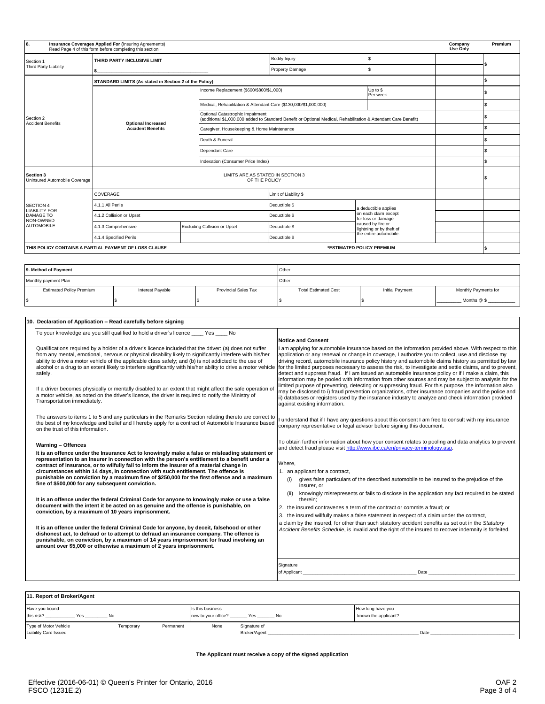| 8.                                                    | Insurance Coverages Applied For (Insuring Agreements)<br>Read Page 4 of this form before completing this section |                 |                                                                  |                                                                                                                 |                                            |                                               | Company<br>Use Only | Premium |
|-------------------------------------------------------|------------------------------------------------------------------------------------------------------------------|-----------------|------------------------------------------------------------------|-----------------------------------------------------------------------------------------------------------------|--------------------------------------------|-----------------------------------------------|---------------------|---------|
| Section 1                                             | THIRD PARTY INCLUSIVE LIMIT                                                                                      |                 |                                                                  | <b>Bodily Injury</b>                                                                                            |                                            | \$                                            |                     |         |
| Third Party Liability                                 |                                                                                                                  |                 |                                                                  | Property Damage                                                                                                 |                                            | \$                                            |                     |         |
|                                                       | STANDARD LIMITS (As stated in Section 2 of the Policy)                                                           |                 |                                                                  |                                                                                                                 |                                            |                                               |                     |         |
|                                                       |                                                                                                                  |                 | Income Replacement (\$600/\$800/\$1,000)<br>Up to \$<br>Per week |                                                                                                                 |                                            |                                               |                     |         |
|                                                       |                                                                                                                  |                 | Medical, Rehabilitation & Attendant Care (\$130,000/\$1,000,000) |                                                                                                                 |                                            |                                               |                     |         |
| Section 2<br><b>Accident Benefits</b>                 | <b>Optional Increased</b>                                                                                        |                 | Optional Catastrophic Impairment                                 | (additional \$1,000,000 added to Standard Benefit or Optional Medical, Rehabilitation & Attendant Care Benefit) |                                            |                                               |                     |         |
|                                                       | <b>Accident Benefits</b>                                                                                         |                 | Caregiver, Housekeeping & Home Maintenance                       |                                                                                                                 |                                            |                                               |                     |         |
|                                                       |                                                                                                                  | Death & Funeral |                                                                  |                                                                                                                 |                                            |                                               |                     |         |
|                                                       |                                                                                                                  |                 | Dependant Care                                                   |                                                                                                                 |                                            |                                               |                     |         |
|                                                       |                                                                                                                  |                 | Indexation (Consumer Price Index)                                |                                                                                                                 |                                            |                                               |                     |         |
| Section 3<br>Uninsured Automobile Coverage            | LIMITS ARE AS STATED IN SECTION 3<br>OF THE POLICY                                                               |                 |                                                                  |                                                                                                                 |                                            |                                               |                     |         |
|                                                       | COVERAGE                                                                                                         |                 |                                                                  | Limit of Liability \$                                                                                           |                                            |                                               |                     |         |
| <b>SECTION 4</b>                                      | 4.1.1 All Perils                                                                                                 |                 | Deductible \$                                                    |                                                                                                                 | a deductible applies                       |                                               |                     |         |
| <b>LIABILITY FOR</b><br><b>DAMAGE TO</b><br>NON-OWNED | 4.1.2 Collision or Upset                                                                                         |                 | Deductible \$                                                    |                                                                                                                 | on each claim except<br>for loss or damage |                                               |                     |         |
| <b>AUTOMOBILE</b>                                     | <b>Excluding Collision or Upset</b><br>4.1.3 Comprehensive                                                       |                 |                                                                  | Deductible \$                                                                                                   |                                            | caused by fire or<br>lightning or by theft of |                     |         |
|                                                       | 4.1.4 Specified Perils                                                                                           |                 |                                                                  | Deductible \$                                                                                                   |                                            | the entire automobile.                        |                     |         |
|                                                       | THIS POLICY CONTAINS A PARTIAL PAYMENT OF LOSS CLAUSE                                                            |                 |                                                                  |                                                                                                                 |                                            | *ESTIMATED POLICY PREMIUM                     |                     |         |

| 9. Method of Payment                                                               |  |  | Other                       |                 |                      |  |  |
|------------------------------------------------------------------------------------|--|--|-----------------------------|-----------------|----------------------|--|--|
| Monthly payment Plan                                                               |  |  | Other                       |                 |                      |  |  |
| <b>Provincial Sales Tax</b><br><b>Estimated Policy Premium</b><br>Interest Payable |  |  | <b>Total Estimated Cost</b> | Initial Payment | Monthly Payments for |  |  |
| l \$                                                                               |  |  |                             |                 | Months @ \$          |  |  |

|  | 10. Declaration of Application - Read carefully before signing                                                                                                                                                                                                                                                                                                                                                                                              |                                                                                                                                                                                                                                                                                                                                                                                                                                                                                                                                                                                                                                                                                                                                                        |
|--|-------------------------------------------------------------------------------------------------------------------------------------------------------------------------------------------------------------------------------------------------------------------------------------------------------------------------------------------------------------------------------------------------------------------------------------------------------------|--------------------------------------------------------------------------------------------------------------------------------------------------------------------------------------------------------------------------------------------------------------------------------------------------------------------------------------------------------------------------------------------------------------------------------------------------------------------------------------------------------------------------------------------------------------------------------------------------------------------------------------------------------------------------------------------------------------------------------------------------------|
|  | To your knowledge are you still qualified to hold a driver's licence Yes<br>No.                                                                                                                                                                                                                                                                                                                                                                             |                                                                                                                                                                                                                                                                                                                                                                                                                                                                                                                                                                                                                                                                                                                                                        |
|  |                                                                                                                                                                                                                                                                                                                                                                                                                                                             | <b>Notice and Consent</b>                                                                                                                                                                                                                                                                                                                                                                                                                                                                                                                                                                                                                                                                                                                              |
|  | Qualifications required by a holder of a driver's licence included that the driver: (a) does not suffer<br>from any mental, emotional, nervous or physical disability likely to significantly interfere with his/her<br>ability to drive a motor vehicle of the applicable class safely; and (b) is not addicted to the use of<br>alcohol or a drug to an extent likely to interfere significantly with his/her ability to drive a motor vehicle<br>safely. | I am applying for automobile insurance based on the information provided above. With respect to this<br>application or any renewal or change in coverage, I authorize you to collect, use and disclose my<br>driving record, automobile insurance policy history and automobile claims history as permitted by law<br>for the limited purposes necessary to assess the risk, to investigate and settle claims, and to prevent,<br>detect and suppress fraud. If I am issued an automobile insurance policy or if I make a claim, this<br>information may be pooled with information from other sources and may be subject to analysis for the<br>limited purpose of preventing, detecting or suppressing fraud. For this purpose, the information also |
|  | If a driver becomes physically or mentally disabled to an extent that might affect the safe operation of<br>a motor vehicle, as noted on the driver's licence, the driver is required to notify the Ministry of<br>Transportation immediately.                                                                                                                                                                                                              | may be disclosed to i) fraud prevention organizations, other insurance companies and the police and<br>ii) databases or registers used by the insurance industry to analyze and check information provided<br>against existing information.                                                                                                                                                                                                                                                                                                                                                                                                                                                                                                            |
|  | The answers to items 1 to 5 and any particulars in the Remarks Section relating thereto are correct to<br>the best of my knowledge and belief and I hereby apply for a contract of Automobile Insurance based<br>on the trust of this information.                                                                                                                                                                                                          | understand that if I have any questions about this consent I am free to consult with my insurance<br>company representative or legal advisor before signing this document.                                                                                                                                                                                                                                                                                                                                                                                                                                                                                                                                                                             |
|  | Warning - Offences<br>It is an offence under the Insurance Act to knowingly make a false or misleading statement or                                                                                                                                                                                                                                                                                                                                         | To obtain further information about how your consent relates to pooling and data analytics to prevent<br>and detect fraud please visit http://www.ibc.ca/en/privacy-terminology.asp.                                                                                                                                                                                                                                                                                                                                                                                                                                                                                                                                                                   |
|  | representation to an Insurer in connection with the person's entitlement to a benefit under a<br>contract of insurance, or to wilfully fail to inform the Insurer of a material change in                                                                                                                                                                                                                                                                   | Where.                                                                                                                                                                                                                                                                                                                                                                                                                                                                                                                                                                                                                                                                                                                                                 |
|  | circumstances within 14 days, in connection with such entitlement. The offence is                                                                                                                                                                                                                                                                                                                                                                           | 1. an applicant for a contract,                                                                                                                                                                                                                                                                                                                                                                                                                                                                                                                                                                                                                                                                                                                        |
|  | punishable on conviction by a maximum fine of \$250,000 for the first offence and a maximum<br>fine of \$500,000 for any subsequent conviction.                                                                                                                                                                                                                                                                                                             | gives false particulars of the described automobile to be insured to the prejudice of the<br>(i)<br>insurer, or                                                                                                                                                                                                                                                                                                                                                                                                                                                                                                                                                                                                                                        |
|  | It is an offence under the federal Criminal Code for anyone to knowingly make or use a false                                                                                                                                                                                                                                                                                                                                                                | knowingly misrepresents or fails to disclose in the application any fact required to be stated<br>therein:                                                                                                                                                                                                                                                                                                                                                                                                                                                                                                                                                                                                                                             |
|  | document with the intent it be acted on as genuine and the offence is punishable, on<br>conviction, by a maximum of 10 years imprisonment.                                                                                                                                                                                                                                                                                                                  | 2. the insured contravenes a term of the contract or commits a fraud: or                                                                                                                                                                                                                                                                                                                                                                                                                                                                                                                                                                                                                                                                               |
|  |                                                                                                                                                                                                                                                                                                                                                                                                                                                             | 3. the insured willfully makes a false statement in respect of a claim under the contract,                                                                                                                                                                                                                                                                                                                                                                                                                                                                                                                                                                                                                                                             |
|  | It is an offence under the federal Criminal Code for anyone, by deceit, falsehood or other<br>dishonest act, to defraud or to attempt to defraud an insurance company. The offence is<br>punishable, on conviction, by a maximum of 14 years imprisonment for fraud involving an<br>amount over \$5,000 or otherwise a maximum of 2 years imprisonment.                                                                                                     | a claim by the insured, for other than such statutory accident benefits as set out in the Statutory<br>Accident Benefits Schedule, is invalid and the right of the insured to recover indemnity is forfeited.                                                                                                                                                                                                                                                                                                                                                                                                                                                                                                                                          |
|  |                                                                                                                                                                                                                                                                                                                                                                                                                                                             | Signature                                                                                                                                                                                                                                                                                                                                                                                                                                                                                                                                                                                                                                                                                                                                              |
|  |                                                                                                                                                                                                                                                                                                                                                                                                                                                             | Date<br>of Applicant                                                                                                                                                                                                                                                                                                                                                                                                                                                                                                                                                                                                                                                                                                                                   |
|  |                                                                                                                                                                                                                                                                                                                                                                                                                                                             |                                                                                                                                                                                                                                                                                                                                                                                                                                                                                                                                                                                                                                                                                                                                                        |

| 11. Report of Broker/Agent                            |           |           |                                         |                              |    |                                           |  |  |  |
|-------------------------------------------------------|-----------|-----------|-----------------------------------------|------------------------------|----|-------------------------------------------|--|--|--|
| Have you bound<br>this risk?<br>Yes                   | No        |           | Is this business<br>new to your office? | Yes                          | No | How long have you<br>known the applicant? |  |  |  |
| Type of Motor Vehicle<br><b>Liability Card Issued</b> | Temporary | Permanent | None                                    | Signature of<br>Broker/Agent |    | Date                                      |  |  |  |

# **The Applicant must receive a copy of the signed application**